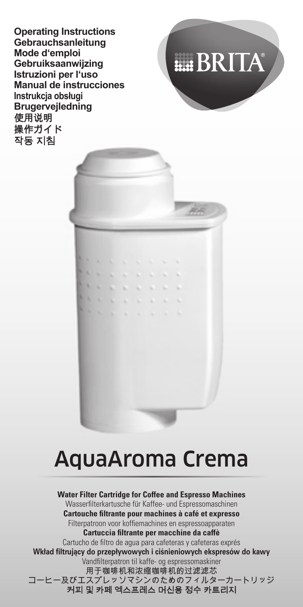**Operating Instructions Gebrauchsanleitung Mode d'emploi Gebruiksaanwijzing Istruzioni per l'uso Manual de instrucciones Instrukcja obsługi Brugervejledning**



# **ELE BRITA**

œ

# AquaAroma Crema

**Water Filter Cartridge for Coffee and Espresso Machines** Wasserfilterkartusche für Kaffee- und Espressomaschinen **Cartouche fi ltrante pour machines à café et expresso** Filternatroon voor koffiemachines en espressoapparaten **Cartuccia fi ltrante per macchine da caffè** Cartucho de filtro de agua para cafeteras y cafeteras exprés Wkład filtrujący do przepływowych i ciśnieniowych ekspresów do kawy .<br>Vandfilternatron til kaffe- og espressomaskiner 用于咖啡机和浓缩咖啡机的过滤滤芯 コーヒー及びエスプレッソマシンのためのフィルターカートリッジ 커피 및 카페 엑스프레스 머신용 정수 카트리지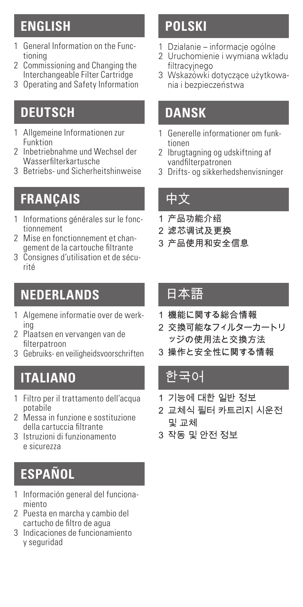### **ENGLISH**

- 1 General Information on the Functioning
- 2 Commissioning and Changing the Interchangeable Filter Cartridge
- 3 Operating and Safety Information

## **DEUTSCH**

- 1 Allgemeine Informationen zur Funktion
- 2 Inbetriebnahme und Wechsel der Wasserfilterkartusche
- 3 Betriebs- und Sicherheitshinweise

## **FRANÇAIS**

- 1 Informations générales sur le fonctionnement
- 2 Mise en fonctionnement et changement de la cartouche filtrante
- 3 Consignes d'utilisation et de sécurité

### **NEDERLANDS**

- 1 Algemene informatie over de werking
- 2 Plaatsen en vervangen van de filternatroon
- 3 Gebruiks- en veiligheidsvoorschriften

## **ITALIANO**

- 1 Filtro per il trattamento dell'acqua potabile
- 2 Messa in funzione e sostituzione della cartuccia filtrante
- 3 Istruzioni di funzionamento e sicurezza

# **ESPAÑOL**

- 1 Información general del funcionamiento
- 2 Puesta en marcha y cambio del cartucho de filtro de agua
- 3 Indicaciones de funcionamiento y seguridad

### **POLSKI**

- 1 Działanie informacje ogólne
- 2 Uruchomienie i wymiana wkładu filtracyjnego
- 3 Wskazówki dotyczące użytkowania i bezpieczeństwa

### **DANSK**

- 1 Generelle informationer om funktionen
- 2 Ibrugtagning og udskiftning af vandfilternatronen
- 3 Drifts- og sikkerhedshenvisninger

### 中文

- 1 产品功能介绍
- 2 滤芯调试及更换
- 3 产品使用和安全信息

### 日本語

- 1 機能に関する総合情報
- 2 交換可能なフィルターカートリ ッジの使用法と交換方法
- 3 操作と安全性に関する情報

### 한국어

- 1 기능에 대한 일반 정보
- 2 교체식 필터 카트리지 시운전 및 교체
- 3 작동 및 안전 정보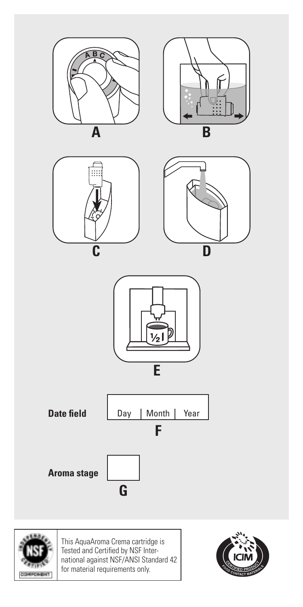



This AquaAroma Crema cartridge is Tested and Certified by NSF Inter-national against NSF/ANSI Standard 42 for material requirements only.

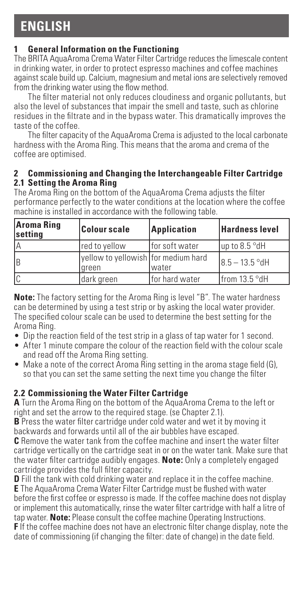### **1 General Information on the Functioning**

The BRITA AquaAroma Crema Water Filter Cartridge reduces the limescale content in drinking water, in order to protect espresso machines and coffee machines against scale build up. Calcium, magnesium and metal ions are selectively removed from the drinking water using the flow method.

The filter material not only reduces cloudiness and organic pollutants, but also the level of substances that impair the smell and taste, such as chlorine residues in the filtrate and in the bypass water. This dramatically improves the taste of the coffee.

The filter capacity of the AquaAroma Crema is adjusted to the local carbonate hardness with the Aroma Ring. This means that the aroma and crema of the coffee are optimised.

#### **2 Commissioning and Changing the Interchangeable Filter Cartridge 2.1 Setting the Aroma Ring**

The Aroma Ring on the bottom of the AquaAroma Crema adjusts the filter performance perfectly to the water conditions at the location where the coffee machine is installed in accordance with the following table.

| <b>Aroma Ring</b><br><b>settina</b> | <b>Colour scale</b>                                 | Application    | <b>Hardness level</b> |
|-------------------------------------|-----------------------------------------------------|----------------|-----------------------|
| IΑ                                  | red to vellow                                       | for soft water | lup to 8.5 °dH        |
| Ιв                                  | vellow to vellowish for medium hard<br><b>areen</b> | lwater         | $18.5 - 13.5$ °dH     |
|                                     | dark green                                          | for hard water | from 13.5 °dH         |

**Note:** The factory setting for the Aroma Ring is level "B". The water hardness can be determined by using a test strip or by asking the local water provider. The specified colour scale can be used to determine the best setting for the Aroma Ring.

- Dip the reaction field of the test strip in a glass of tap water for 1 second.
- After 1 minute compare the colour of the reaction field with the colour scale and read off the Aroma Ring setting.
- Make a note of the correct Aroma Ring setting in the aroma stage field (G), so that you can set the same setting the next time you change the filter

### **2.2 Commissioning the Water Filter Cartridge**

**A** Turn the Aroma Ring on the bottom of the AquaAroma Crema to the left or right and set the arrow to the required stage. (se Chapter 2.1).

**B** Press the water filter cartridge under cold water and wet it by moving it backwards and forwards until all of the air bubbles have escaped.

**C** Remove the water tank from the coffee machine and insert the water filter cartridge vertically on the cartridge seat in or on the water tank. Make sure that the water filter cartridge audibly engages. **Note:** Only a completely engaged cartridge provides the full filter capacity.

**D** Fill the tank with cold drinking water and replace it in the coffee machine. **E** The AquaAroma Crema Water Filter Cartridge must be flushed with water before the first coffee or espresso is made. If the coffee machine does not display or implement this automatically, rinse the water filter cartridge with half a litre of tap water. **Note:** Please consult the coffee machine Operating Instructions. **F** If the coffee machine does not have an electronic filter change display, note the date of commissioning (if changing the filter: date of change) in the date field.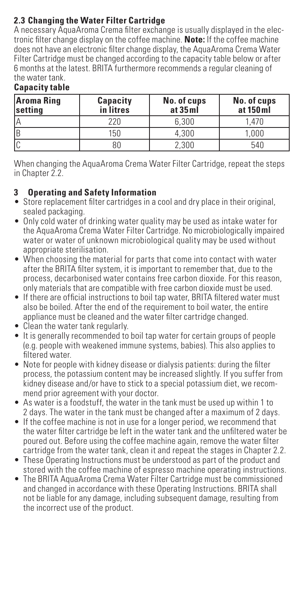### **2.3 Changing the Water Filter Cartridge**

A necessary AquaAroma Crema filter exchange is usually displayed in the electronic filter change display on the coffee machine. **Note:** If the coffee machine does not have an electronic filter change display, the AquaAroma Crema Water Filter Cartridge must be changed according to the capacity table below or after 6 months at the latest. BRITA furthermore recommends a regular cleaning of the water tank.

|  | Capacity table |  |
|--|----------------|--|

| Aroma Ring<br><b>settina</b> | Capacity<br>in litres | No. of cups<br>at 35 ml | No. of cups<br>at 150 ml |
|------------------------------|-----------------------|-------------------------|--------------------------|
| ۱۵                           | 220                   | 6.300                   | 1.470                    |
| ΙB                           | 150                   | 4.300                   | 1.000                    |
|                              | 80                    | 2.300                   | 540                      |

When changing the AquaAroma Crema Water Filter Cartridge, repeat the steps in Chapter 2.2.

### **3 Operating and Safety Information**

- Store replacement filter cartridges in a cool and dry place in their original, sealed packaging.
- Only cold water of drinking water quality may be used as intake water for the AquaAroma Crema Water Filter Cartridge. No microbiologically impaired water or water of unknown microbiological quality may be used without appropriate sterilisation.
- When choosing the material for parts that come into contact with water after the BRITA filter system, it is important to remember that, due to the process, decarbonised water contains free carbon dioxide. For this reason, only materials that are compatible with free carbon dioxide must be used.
- If there are official instructions to boil tap water, BRITA filtered water must also be boiled. After the end of the requirement to boil water, the entire appliance must be cleaned and the water filter cartridge changed.
- Clean the water tank regularly.
- It is generally recommended to boil tap water for certain groups of people (e.g. people with weakened immune systems, babies). This also applies to filtered water.
- Note for people with kidney disease or dialysis patients: during the filter process, the potassium content may be increased slightly. If you suffer from kidney disease and/or have to stick to a special potassium diet, we recommend prior agreement with your doctor.
- As water is a foodstuff, the water in the tank must be used up within 1 to 2 days. The water in the tank must be changed after a maximum of 2 days.
- If the coffee machine is not in use for a longer period, we recommend that the water filter cartridge be left in the water tank and the unfiltered water be poured out. Before using the coffee machine again, remove the water filter cartridge from the water tank, clean it and repeat the stages in Chapter 2.2.
- These Operating Instructions must be understood as part of the product and stored with the coffee machine of espresso machine operating instructions.
- The BRITA AquaAroma Crema Water Filter Cartridge must be commissioned and changed in accordance with these Operating Instructions. BRITA shall not be liable for any damage, including subsequent damage, resulting from the incorrect use of the product.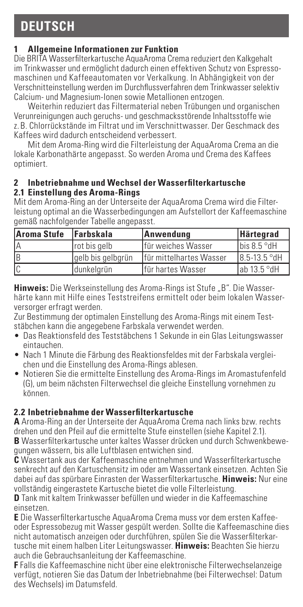### **DEUTSCH**

### **1 Allgemeine Informationen zur Funktion**

Die BRITA Wasserfilterkartusche AquaAroma Crema reduziert den Kalkgehalt im Trinkwasser und ermöglicht dadurch einen effektiven Schutz von Espressomaschinen und Kaffeeautomaten vor Verkalkung. In Abhängigkeit von der Verschnitteinstellung werden im Durchflussverfahren dem Trinkwasser selektiv Calcium- und Magnesium-Ionen sowie Metallionen entzogen.

Weiterhin reduziert das Filtermaterial neben Trübungen und organischen Verunreinigungen auch geruchs- und geschmacksstörende Inhaltsstoffe wie z. B. Chlorrückstände im Filtrat und im Verschnittwasser. Der Geschmack des Kaffees wird dadurch entscheidend verbessert.

Mit dem Aroma-Ring wird die Filterleistung der AquaAroma Crema an die lokale Karbonathärte angepasst. So werden Aroma und Crema des Kaffees optimiert.

#### **2 Inbetriebnahme und Wechsel der Wasserfilterkartusche 2.1 Einstellung des Aroma-Rings**

Mit dem Aroma-Ring an der Unterseite der AquaAroma Crema wird die Filterleistung optimal an die Wasserbedingungen am Aufstellort der Kaffeemaschine gemäß nachfolgender Tabelle angepasst.

| Aroma Stufe | <b>Farbskala</b>  | Anwendung                | Härtegrad    |
|-------------|-------------------|--------------------------|--------------|
| IΑ          | rot bis gelb      | für weiches Wasser       | bis 8.5 °dH  |
| ΙB          | gelb bis gelbgrün | Ifür mittelhartes Wasser | 8.5-13.5 °dH |
| Ic          | ldunkelarün       | Ifür hartes Wasser       | lab 13.5 °dH |

**Hinweis:** Die Werkseinstellung des Aroma-Rings ist Stufe "B". Die Wasserhärte kann mit Hilfe eines Teststreifens ermittelt oder beim lokalen Wasserversorger erfragt werden.

Zur Bestimmung der optimalen Einstellung des Aroma-Rings mit einem Teststäbchen kann die angegebene Farbskala verwendet werden.

- Das Reaktionsfeld des Teststäbchens 1 Sekunde in ein Glas Leitungswasser eintauchen.
- Nach 1 Minute die Färbung des Reaktionsfeldes mit der Farbskala vergleichen und die Einstellung des Aroma-Rings ablesen.
- Notieren Sie die ermittelte Einstellung des Aroma-Rings im Aromastufenfeld (G), um beim nächsten Filterwechsel die gleiche Einstellung vornehmen zu können.

### **2.2 Inbetriebnahme der Wasserfilterkartusche**

**A** Aroma-Ring an der Unterseite der AquaAroma Crema nach links bzw. rechts drehen und den Pfeil auf die ermittelte Stufe einstellen (siehe Kapitel 2.1). **B** Wasserfilterkartusche unter kaltes Wasser drücken und durch Schwenkbewegungen wässern, bis alle Luftblasen entwichen sind.

**C** Wassertank aus der Kaffeemaschine entnehmen und Wasserfilterkartusche senkrecht auf den Kartuschensitz im oder am Wassertank einsetzen. Achten Sie dabei auf das spürbare Einrasten der Wasserfilterkartusche. **Hinweis:** Nur eine vollständig eingerastete Kartusche bietet die volle Filterleistung.

**D** Tank mit kaltem Trinkwasser befüllen und wieder in die Kaffeemaschine einsetzen.

**E** Die Wasserfilterkartusche AquaAroma Crema muss vor dem ersten Kaffeeoder Espressobezug mit Wasser gespült werden. Sollte die Kaffeemaschine dies nicht automatisch anzeigen oder durchführen, spülen Sie die Wasserfilterkartusche mit einem halben Liter Leitungswasser. **Hinweis:** Beachten Sie hierzu auch die Gebrauchsanleitung der Kaffeemaschine.

**F** Falls die Kaffeemaschine nicht über eine elektronische Filterwechselanzeige verfügt, notieren Sie das Datum der Inbetriebnahme (bei Filterwechsel: Datum des Wechsels) im Datumsfeld.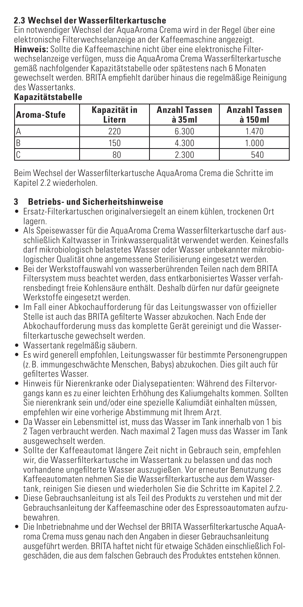### **2.3 Wechsel der Wasserfilterkartusche**

Ein notwendiger Wechsel der AquaAroma Crema wird in der Regel über eine elektronische Filterwechselanzeige an der Kaffeemaschine angezeigt. **Hinweis:** Sollte die Kaffeemaschine nicht über eine elektronische Filterwechselanzeige verfügen, muss die AquaAroma Crema Wasserfilterkartusche gemäß nachfolgender Kapazitätstabelle oder spätestens nach 6 Monaten gewechselt werden. BRITA empfiehlt darüber hinaus die regelmäßige Reinigung des Wassertanks.

| Aroma-Stufe | Kapazität in<br>Litern | <b>Anzahl Tassen</b><br>$\hat{a}$ 35 $ml$ | <b>Anzahl Tassen</b><br>à 150 ml |
|-------------|------------------------|-------------------------------------------|----------------------------------|
|             | 220                    | 6.300                                     | 1.470                            |
| B           | 150                    | 4.300                                     | 1.000                            |
|             |                        | 2.300                                     | 540                              |

### **Kapazitätstabelle**

Beim Wechsel der Wasserfilterkartusche AquaAroma Crema die Schritte im Kapitel 2.2 wiederholen.

### **3 Betriebs- und Sicherheitshinweise**

- Ersatz-Filterkartuschen originalversiegelt an einem kühlen, trockenen Ort lagern.
- Als Speisewasser für die AquaAroma Crema Wasserfilterkartusche darf ausschließlich Kaltwasser in Trinkwasserqualität verwendet werden. Keinesfalls darf mikrobiologisch belastetes Wasser oder Wasser unbekannter mikrobiologischer Qualität ohne angemessene Sterilisierung eingesetzt werden.
- Bei der Werkstoffauswahl von wasserberührenden Teilen nach dem BRITA Filtersystem muss beachtet werden, dass entkarbonisiertes Wasser verfahrensbedingt freie Kohlensäure enthält. Deshalb dürfen nur dafür geeignete Werkstoffe eingesetzt werden.
- Im Fall einer Abkochaufforderung für das Leitungswasser von offizieller Stelle ist auch das BRITA gefilterte Wasser abzukochen. Nach Ende der Abkochaufforderung muss das komplette Gerät gereinigt und die Wasserfilterkartusche gewechselt werden.
- Wassertank regelmäßig säubern.
- Es wird generell empfohlen, Leitungswasser für bestimmte Personengruppen (z. B. immungeschwächte Menschen, Babys) abzukochen. Dies gilt auch für
- gefiltertes Wasser. Hinweis für Nierenkranke oder Dialysepatienten: Während des Filtervorgangs kann es zu einer leichten Erhöhung des Kaliumgehalts kommen. Sollten Sie nierenkrank sein und/oder eine spezielle Kaliumdiät einhalten müssen, empfehlen wir eine vorherige Abstimmung mit Ihrem Arzt.
- Da Wasser ein Lebensmittel ist, muss das Wasser im Tank innerhalb von 1 bis 2 Tagen verbraucht werden. Nach maximal 2 Tagen muss das Wasser im Tank ausgewechselt werden.
- Sollte der Kaffeeautomat längere Zeit nicht in Gebrauch sein, empfehlen wir, die Wasserfilterkartusche im Wassertank zu belassen und das noch vorhandene ungefilterte Wasser auszugießen. Vor erneuter Benutzung des Kaffeeautomaten nehmen Sie die Wasserfilterkartusche aus dem Wassertank, reinigen Sie diesen und wiederholen Sie die Schritte im Kapitel 2.2.
- Diese Gebrauchsanleitung ist als Teil des Produkts zu verstehen und mit der Gebrauchsanleitung der Kaffeemaschine oder des Espressoautomaten aufzubewahren.
- Die Inbetriebnahme und der Wechsel der BRITA Wasserfilterkartusche AquaAroma Crema muss genau nach den Angaben in dieser Gebrauchsanleitung ausgeführt werden. BRITA haftet nicht für etwaige Schäden einschließlich Folgeschäden, die aus dem falschen Gebrauch des Produktes entstehen können.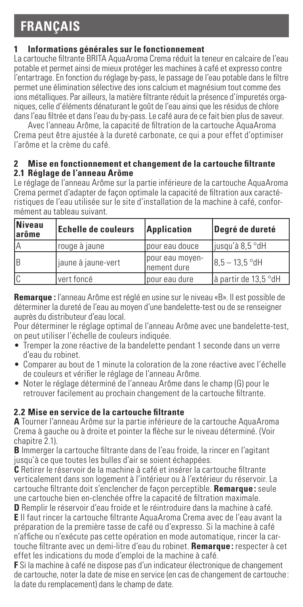# **FRANÇAIS**

### **1 Informations générales sur le fonctionnement**

La cartouche filtrante BRITA AquaAroma Crema réduit la teneur en calcaire de l'eau potable et permet ainsi de mieux protéger les machines à café et expresso contre l'entartrage. En fonction du réglage by-pass, le passage de l'eau potable dans le filtre permet une élimination sélective des ions calcium et magnésium tout comme des ions métalliques. Par ailleurs, la matière filtrante réduit la présence d'ímpuretés organiques, celle d'éléments dénaturant le goût de l'eau ainsi que les résidus de chlore dans l'eau filtrée et dans l'eau du by-pass. Le café aura de ce fait bien plus de saveur.

Avec l'anneau Arôme, la capacité de filtration de la cartouche AquaAroma Crema peut être ajustée à la dureté carbonate, ce qui a pour effet d'optimiser l'arôme et la crème du café.

#### **2 Mise en fonctionnement et changement de la cartouche filtrante 2.1 Réglage de l'anneau Arôme**

Le réglage de l'anneau Arôme sur la partie inférieure de la cartouche AquaAroma Crema permet d'adapter de façon optimale la capacité de filtration aux caractéristiques de l'eau utilisée sur le site d'installation de la machine à café, conformément au tableau suivant.

| Niveau<br>larôme | <b>Echelle de couleurs</b> | Application                      | Degré de dureté       |
|------------------|----------------------------|----------------------------------|-----------------------|
| lΑ               | rouge à jaune              | pour eau douce                   | liusau'à 8.5 °dH      |
| Ιв               | jaune à jaune-vert         | lpour eau moven-<br>Inement dure | $18.5 - 13.5$ °dH     |
| Ic               | lvert foncé                | lpour eau dure                   | là partir de 13.5 °dH |

**Remarque :** l'anneau Arôme est réglé en usine sur le niveau «B». Il est possible de déterminer la dureté de l'eau au moyen d'une bandelette-test ou de se renseigner auprès du distributeur d'eau local.

Pour déterminer le réglage optimal de l'anneau Arôme avec une bandelette-test, on peut utiliser l'échelle de couleurs indiquée.

- Tremper la zone réactive de la bandelette pendant 1 seconde dans un verre d'eau du robinet.
- Comparer au bout de 1 minute la coloration de la zone réactive avec l'échelle de couleurs et vérifier le réglage de l'anneau Arôme.
- Noter le réglage déterminé de l'anneau Arôme dans le champ (G) pour le retrouver facilement au prochain changement de la cartouche filtrante.

### **2.2 Mise en service de la cartouche filtrante**

**A** Tourner l'anneau Arôme sur la partie inférieure de la cartouche AquaAroma Crema à gauche ou à droite et pointer la flèche sur le niveau déterminé. (Voir chanitre 2.1)

**B** Immerger la cartouche filtrante dans de l'eau froide, la rincer en l'agitant jusqu'à ce que toutes les bulles d'air se soient échappées.

**C** Retirer le réservoir de la machine à café et insérer la cartouche filtrante verticalement dans son logement à l'intérieur ou à l'extérieur du réservoir. La cartouche filtrante doit s'enclencher de façon perceptible. **Remarque:** seule une cartouche bien en-clenchée offre la capacité de filtration maximale.

**D** Remplir le réservoir d'eau froide et le réintroduire dans la machine à café. **E** Il faut rincer la cartouche filtrante AquaAroma Crema avec de l'eau avant la préparation de la première tasse de café ou d'expresso. Si la machine à café n'affiche ou n'exécute pas cette opération en mode automatique, rincer la cartouche filtrante avec un demi-litre d'eau du robinet. **Remarque :** respecter à cet effet les indications du mode d'emploi de la machine à café.

**F** Si la machine à café ne dispose pas d'un indicateur électronique de changement de cartouche, noter la date de mise en service (en cas de changement de cartouche: la date du remplacement) dans le champ de date.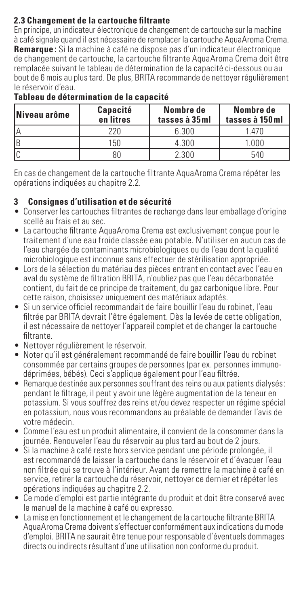### **2.3 Changement de la cartouche filtrante**

En principe, un indicateur électronique de changement de cartouche sur la machine à café signale quand il est nécessaire de remplacer la cartouche AquaAroma Crema. **Remarque :** Si la machine à café ne dispose pas d'un indicateur électronique de changement de cartouche, la cartouche filtrante AquaAroma Crema doit être remplacée suivant le tableau de détermination de la capacité ci-dessous ou au bout de 6 mois au plus tard. De plus, BRITA recommande de nettoyer régulièrement le réservoir d'eau.

| Niveau arôme | Capacité<br>en litres | Nombre de<br>tasses à 35ml | Nombre de<br>tasses à 150 ml |
|--------------|-----------------------|----------------------------|------------------------------|
| ۱۵           | 220                   | 6.300                      | 1 470                        |
| IR           | 150                   | 4.300                      | 1.000                        |
|              |                       | 2.300                      | 54P                          |

### **Tableau de détermination de la capacité**

En cas de changement de la cartouche filtrante AquaAroma Crema répéter les opérations indiquées au chapitre 2.2.

### **3 Consignes d'utilisation et de sécurité**

- Conserver les cartouches filtrantes de rechange dans leur emballage d'origine scellé au frais et au sec.
- La cartouche filtrante AquaAroma Crema est exclusivement conçue pour le traitement d'une eau froide classée eau potable. N'utiliser en aucun cas de l'eau chargée de contaminants microbiologiques ou de l'eau dont la qualité microbiologique est inconnue sans effectuer de stérilisation appropriée.
- Lors de la sélection du matériau des pièces entrant en contact avec l'eau en aval du système de filtration BRITA, n'oubliez pas que l'eau décarbonatée contient, du fait de ce principe de traitement, du gaz carbonique libre. Pour cette raison, choisissez uniquement des matériaux adaptés.
- Si un service officiel recommandait de faire bouillir l'eau du robinet, l'eau filtrée par BBITA devrait l'être également. Dès la levée de cette obligation, il est nécessaire de nettoyer l'appareil complet et de changer la cartouche filtrante.
- Nettoyer régulièrement le réservoir.
- Noter qu'il est généralement recommandé de faire bouillir l'eau du robinet consommée par certains groupes de personnes (par ex. personnes immunodéprimées, bébés). Ceci s'applique également pour l'eau filtrée.
- Remarque destinée aux personnes souffrant des reins ou aux patients dialysés: pendant le filtrage, il peut y avoir une légère augmentation de la teneur en potassium. Si vous souffrez des reins et/ou devez respecter un régime spécial en potassium, nous vous recommandons au préalable de demander l'avis de votre médecin.
- Comme l'eau est un produit alimentaire, il convient de la consommer dans la journée. Renouveler l'eau du réservoir au plus tard au bout de 2 jours.
- Si la machine à café reste hors service pendant une période prolongée, il est recommandé de laisser la cartouche dans le réservoir et d'évacuer l'eau non filtrée qui se trouve à l'intérieur. Avant de remettre la machine à café en service, retirer la cartouche du réservoir, nettoyer ce dernier et répéter les opérations indiquées au chapitre 2.2.
- Ce mode d'emploi est partie intégrante du produit et doit être conservé avec le manuel de la machine à café ou expresso.
- La mise en fonctionnement et le changement de la cartouche filtrante BRITA AquaAroma Crema doivent s'effectuer conformément aux indications du mode d'emploi. BRITA ne saurait être tenue pour responsable d'éventuels dommages directs ou indirects résultant d'une utilisation non conforme du produit.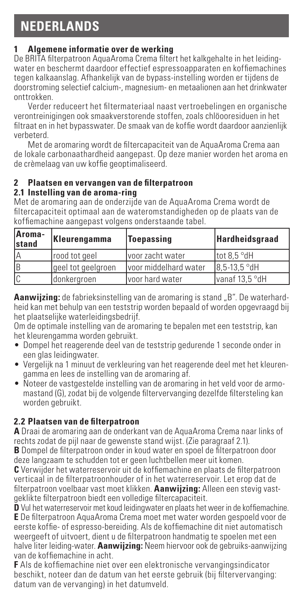### **1 Algemene informatie over de werking**

De BRITA filterpatroon AquaAroma Crema filtert het kalkgehalte in het leidingwater en beschermt daardoor effectief espressoapparaten en koffiemachines tegen kalkaanslag. Afhankelijk van de bypass-instelling worden er tijdens de doorstroming selectief calcium-, magnesium- en metaalionen aan het drinkwater onttrokken.

Verder reduceert het filtermateriaal naast vertroebelingen en organische verontreinigingen ook smaakverstorende stoffen, zoals chlöooresiduen in het filtraat en in het bypasswater. De smaak van de koffie wordt daardoor aanzienlijk verbeterd.

Met de aromaring wordt de filtercapaciteit van de AquaAroma Crema aan de lokale carbonaathardheid aangepast. Op deze manier worden het aroma en de crèmelaag van uw koffie geoptimaliseerd.

### **2 Plaatsen en vervangen van de filterpatroon**

### **2.1 Instelling van de aroma-ring**

Met de aromaring aan de onderzijde van de AquaAroma Crema wordt de filtercapaciteit optimaal aan de wateromstandigheden op de plaats van de koffiemachine aangepast volgens onderstaande tabel.

| Aroma-<br>stand | Kleurengamma       | Toepassing             | <b>Hardheidsgraad</b> |
|-----------------|--------------------|------------------------|-----------------------|
| İΑ              | rood tot geel      | voor zacht water       | ltot 8.5 °dH          |
| ΙB              | geel tot geelgroen | Ivoor middelhard water | 8.5-13.5 °dH          |
| Ic              | donkergroen        | Ivoor hard water       | Ivanaf 13.5 °dH       |

**Aanwiizing:** de fabrieksinstelling van de aromaring is stand ... B". De waterhardheid kan met behulp van een teststrip worden bepaald of worden opgevraagd bij het plaatselijke waterleidingsbedrijf.

Om de optimale instelling van de aromaring te bepalen met een teststrip, kan het kleurengamma worden gebruikt.

- Dompel het reagerende deel van de teststrip gedurende 1 seconde onder in een glas leidingwater.
- Vergelijk na 1 minuut de verkleuring van het reagerende deel met het kleurengamma en lees de instelling van de aromaring af.
- Noteer de vastgestelde instelling van de aromaring in het veld voor de armomastand (G), zodat bij de volgende filtervervanging dezelfde filtersteling kan worden gebruikt.

### **2.2 Plaatsen van de filterpatroon**

**A** Draai de aromaring aan de onderkant van de AquaAroma Crema naar links of rechts zodat de pijl naar de gewenste stand wijst. (Zie paragraaf 2.1). **B** Dompel de filterpatroon onder in koud water en spoel de filterpatroon door

deze langzaam te schudden tot er geen luchtbellen meer uit komen. **C** Verwijder het waterreservoir uit de koffiemachine en plaats de filterpatroon verticaal in de filterpatroonhouder of in het waterreservoir. Let erop dat de filterpatroon voelbaar vast moet klikken. **Aanwijzing:** Alleen een stevig vastgeklikte filterpatroon biedt een volledige filtercapaciteit.

**D** Vul het waterreservoir met koud leidingwater en plaats het weer in de koffiemachine. **E** De filterpatroon AquaAroma Crema moet met water worden gespoeld voor de eerste koffie- of espresso-bereiding. Als de koffiemachine dit niet automatisch weergeeft of uitvoert, dient u de filterpatroon handmatig te spoelen met een halve liter leiding-water. **Aanwijzing:** Neem hiervoor ook de gebruiks-aanwijzing van de koffiemachine in acht.

**F** Als de koffiemachine niet over een elektronische vervangingsindicator beschikt, noteer dan de datum van het eerste gebruik (bij filtervervanging: datum van de vervanging) in het datumveld.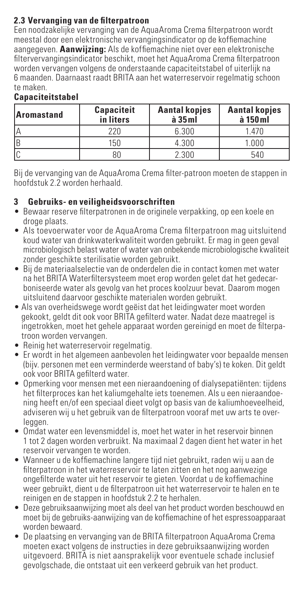### **2.3 Vervanging van de filterpatroon**

Een noodzakelijke vervanging van de AquaAroma Crema filterpatroon wordt meestal door een elektronische vervangingsindicator op de koffiemachine aangegeven. **Aanwijzing:** Als de koffiemachine niet over een elektronische filtervervangingsindicator beschikt, moet het AquaAroma Crema filterpatroon worden vervangen volgens de onderstaande capaciteitstabel of uiterlijk na 6 maanden. Daarnaast raadt BRITA aan het waterreservoir regelmatig schoon te maken.

### **Capaciteitstabel**

| Aromastand | Capaciteit<br>in liters | <b>Aantal kopjes</b><br>$\hat{a}$ 35 $ml$ | <b>Aantal kopjes</b><br>à 150 ml |
|------------|-------------------------|-------------------------------------------|----------------------------------|
| ۱۵         | 220                     | 6.300                                     | 1.470                            |
| IB         | 150                     | 4.300                                     | 1.000                            |
|            | 80                      | 2.300                                     | 540                              |

Bij de vervanging van de AquaAroma Crema filter-patroon moeten de stappen in hoofdstuk 2.2 worden herhaald.

### **3 Gebruiks- en veiligheidsvoorschriften**

- Bewaar reserve filterpatronen in de originele verpakking, op een koele en droge plaats.
- Als toevoerwater voor de AquaAroma Crema filterpatroon mag uitsluitend koud water van drinkwaterkwaliteit worden gebruikt. Er mag in geen geval microbiologisch belast water of water van onbekende microbiologische kwaliteit zonder geschikte sterilisatie worden gebruikt.
- Bij de materiaalselectie van de onderdelen die in contact komen met water na het BRITA Waterfiltersysteem moet erop worden gelet dat het gedecarboniseerde water als gevolg van het proces koolzuur bevat. Daarom mogen uitsluitend daarvoor geschikte materialen worden gebruikt.
- Als van overheidswege wordt geëist dat het leidingwater moet worden gekookt, geldt dit ook voor BRITA gefilterd water. Nadat deze maatregel is ingetrokken, moet het gehele apparaat worden gereinigd en moet de filterpatroon worden vervangen.
- Reinig het waterreservoir regelmatig.
- Er wordt in het algemeen aanbevolen het leidingwater voor bepaalde mensen (bijv. personen met een verminderde weerstand of baby's) te koken. Dit geldt ook voor BRITA gefilterd water.
- Opmerking voor mensen met een nieraandoening of dialysepatiënten: tijdens het filterproces kan het kaliumgehalte iets toenemen. Als u een nieraandoening heeft en/of een speciaal dieet volgt op basis van de kaliumhoeveelheid, adviseren wij u het gebruik van de filterpatroon vooraf met uw arts te overleggen.
- Omdat water een levensmiddel is, moet het water in het reservoir binnen 1 tot 2 dagen worden verbruikt. Na maximaal 2 dagen dient het water in het reservoir vervangen te worden.
- Wanneer u de koffiemachine langere tijd niet gebruikt, raden wij u aan de filterpatroon in het waterreservoir te laten zitten en het nog aanwezige ongefilterde water uit het reservoir te gieten. Voordat u de koffiemachine weer gebruikt, dient u de filterpatroon uit het waterreservoir te halen en te reinigen en de stappen in hoofdstuk 2.2 te herhalen.
- Deze gebruiksaanwijzing moet als deel van het product worden beschouwd en moet bij de gebruiks-aanwijzing van de koffiemachine of het espressoapparaat worden bewaard.
- De plaatsing en vervanging van de BRITA filterpatroon AquaAroma Crema moeten exact volgens de instructies in deze gebruiksaanwijzing worden uitgevoerd. BRITA is niet aansprakelijk voor eventuele schade inclusief gevolgschade, die ontstaat uit een verkeerd gebruik van het product.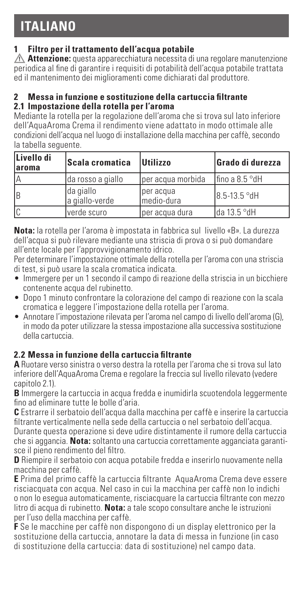# **ITALIANO**

### **1 Filtro per il trattamento dell'acqua potabile**

**! Attenzione:** questa apparecchiatura necessita di una regolare manutenzione periodica al fine di garantire i requisiti di potabilità dell'acqua potabile trattata ed il mantenimento dei miglioramenti come dichiarati dal produttore.

### **2 Messa in funzione e sostituzione della cartuccia filtrante**

### **2.1 Impostazione della rotella per l'aroma**

Mediante la rotella per la regolazione dell'aroma che si trova sul lato inferiore dell'AquaAroma Crema il rendimento viene adattato in modo ottimale alle condizioni dell'acqua nel luogo di installazione della macchina per caffè, secondo la tabella seguente.

| Livello di<br>laroma | Scala cromatica              | <b>Utilizzo</b>         | Grado di durezza |
|----------------------|------------------------------|-------------------------|------------------|
|                      | da rosso a giallo            | per acqua morbida       | Ifino a 8.5 °dH  |
| ΙB                   | lda giallo<br>a giallo-verde | per acqua<br>medio-dura | 8.5-13.5 °dH     |
| Ic                   | verde scuro                  | lper acqua dura         | Ida 13.5 °dH     |

**Nota:** la rotella per l'aroma è impostata in fabbrica sul livello «B». La durezza dell'acqua si può rilevare mediante una striscia di prova o si può domandare all'ente locale per l'approvvigionamento idrico.

Per determinare l'impostazione ottimale della rotella per l'aroma con una striscia di test, si può usare la scala cromatica indicata.

- Immergere per un 1 secondo il campo di reazione della striscia in un bicchiere contenente acqua del rubinetto.
- Dopo 1 minuto confrontare la colorazione del campo di reazione con la scala cromatica e leggere l'impostazione della rotella per l'aroma.
- Annotare l'impostazione rilevata per l'aroma nel campo di livello dell'aroma (G), in modo da poter utilizzare la stessa impostazione alla successiva sostituzione della cartuccia.

### **2.2 Messa in funzione della cartuccia filtrante**

**A** Ruotare verso sinistra o verso destra la rotella per l'aroma che si trova sul lato inferiore dell'AquaAroma Crema e regolare la freccia sul livello rilevato (vedere capitolo 2.1).

**B** Immergere la cartuccia in acqua fredda e inumidirla scuotendola leggermente fino ad eliminare tutte le bolle d'aria.

**C** Estrarre il serbatoio dell'acqua dalla macchina per caffè e inserire la cartuccia filtrante verticalmente nella sede della cartuccia o nel serbatoio dell'acqua.

Durante questa operazione si deve udire distintamente il rumore della cartuccia che si aggancia. **Nota:** soltanto una cartuccia correttamente agganciata garantisce il pieno rendimento del filtro.

**D** Riempire il serbatoio con acqua potabile fredda e inserirlo nuovamente nella macchina per caffè.

**E** Prima del primo caffè la cartuccia filtrante AquaAroma Crema deve essere risciacquata con acqua. Nel caso in cui la macchina per caffè non lo indichi o non lo esegua automaticamente, risciacquare la cartuccia filtrante con mezzo litro di acqua di rubinetto. **Nota:** a tale scopo consultare anche le istruzioni per l'uso della macchina per caffè.

**F** Se le macchine per caffè non dispongono di un display elettronico per la sostituzione della cartuccia, annotare la data di messa in funzione (in caso di sostituzione della cartuccia: data di sostituzione) nel campo data.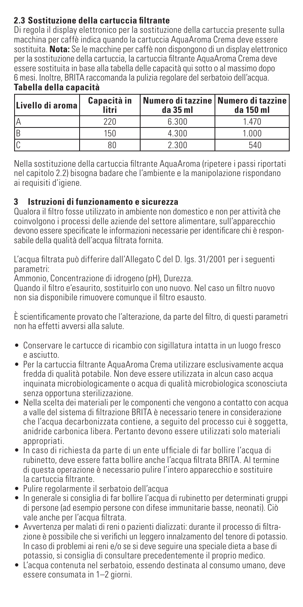### **2.3 Sostituzione della cartuccia filtrante**

Di regola il display elettronico per la sostituzione della cartuccia presente sulla macchina per caffè indica quando la cartuccia AquaAroma Crema deve essere sostituita. **Nota:** Se le macchine per caffè non dispongono di un display elettronico per la sostituzione della cartuccia, la cartuccia filtrante AquaAroma Crema deve essere sostituita in base alla tabella delle capacità qui sotto o al massimo dopo 6 mesi. Inoltre, BRITA raccomanda la pulizia regolare del serbatoio dell'acqua. **Tabella della capacità**

| Livello di aroma | Capacità in<br>litri | Numero di tazzine   Numero di tazzine  <br>da 35 ml | da 150 ml |
|------------------|----------------------|-----------------------------------------------------|-----------|
| ۱۵               | 220                  | 6.300                                               | 1 470     |
| IB               | 150                  | 4.300                                               | 1.000     |
|                  | ВC                   | 2.300                                               | 540       |

Nella sostituzione della cartuccia filtrante AquaAroma (ripetere i passi riportati nel capitolo 2.2) bisogna badare che l'ambiente e la manipolazione rispondano ai requisiti d'igiene.

### **3 Istruzioni di funzionamento e sicurezza**

Qualora il filtro fosse utilizzato in ambiente non domestico e non per attività che coinvolgono i processi delle aziende del settore alimentare, sull'apparecchio devono essere specificate le informazioni necessarie per identificare chi è responsabile della qualità dell'acqua filtrata fornita.

L'acqua filtrata può differire dall'Allegato C del D. lgs. 31/2001 per i seguenti parametri:

Ammonio, Concentrazione di idrogeno (pH), Durezza.

Quando il filtro e'esaurito, sostituirlo con uno nuovo. Nel caso un filtro nuovo non sia disponibile rimuovere comunque il filtro esausto.

È scientificamente provato che l'alterazione, da parte del filtro, di questi parametri non ha effetti avversi alla salute.

- Conservare le cartucce di ricambio con sigillatura intatta in un luogo fresco e asciutto.
- Per la cartuccia filtrante AquaAroma Crema utilizzare esclusivamente acqua fredda di qualità potabile. Non deve essere utilizzata in alcun caso acqua inquinata microbiologicamente o acqua di qualità microbiologica sconosciuta senza opportuna sterilizzazione.
- Nella scelta dei materiali per le componenti che vengono a contatto con acqua a valle del sistema di filtrazione BRITA è necessario tenere in considerazione che l'acqua decarbonizzata contiene, a seguito del processo cui è soggetta, anidride carbonica libera. Pertanto devono essere utilizzati solo materiali appropriati.
- In caso di richiesta da parte di un ente ufficiale di far bollire l'acqua di rubinetto, deve essere fatta bollire anche l'acqua filtrata BRITA. Al termine di questa operazione è necessario pulire l'intero apparecchio e sostituire la cartuccia filtrante.
- Pulire regolarmente il serbatoio dell'acqua
- In generale si consiglia di far bollire l'acqua di rubinetto per determinati gruppi di persone (ad esempio persone con difese immunitarie basse, neonati). Ciò vale anche per l'acqua filtrata.
- Avvertenza per malati di reni o pazienti dializzati: durante il processo di filtrazione è possibile che si verifichi un leggero innalzamento del tenore di potassio. In caso di problemi ai reni e/o se si deve seguire una speciale dieta a base di potassio, si consiglia di consultare precedentemente il proprio medico.
- L'acqua contenuta nel serbatoio, essendo destinata al consumo umano, deve essere consumata in 1–2 giorni.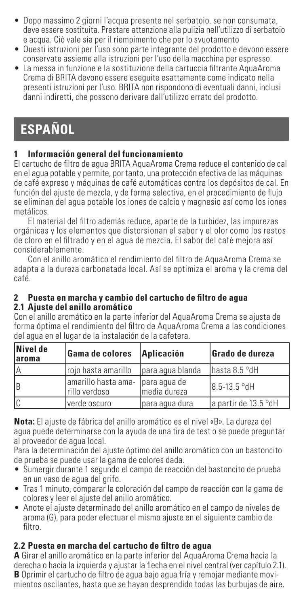- Dopo massimo 2 giorni l'acqua presente nel serbatoio, se non consumata, deve essere sostituita. Prestare attenzione alla pulizia nell'utilizzo di serbatoio e acqua. Ciò vale sia per il riempimento che per lo svuotamento
- Questi istruzioni per l'uso sono parte integrante del prodotto e devono essere conservate assieme alla istruzioni per l'uso della macchina per espresso.
- La messa in funzione e la sostituzione della cartuccia filtrante AquaAroma Crema di BRITA devono essere eseguite esattamente come indicato nella presenti istruzioni per l'uso. BRITA non rispondono di eventuali danni, inclusi danni indiretti, che possono derivare dall'utilizzo errato del prodotto.

# **ESPAÑOL**

### **1 Información general del funcionamiento**

El cartucho de filtro de agua BRITA AquaAroma Crema reduce el contenido de cal en el agua potable y permite, por tanto, una protección efectiva de las máquinas de café expreso y máquinas de café automáticas contra los depósitos de cal. En función del ajuste de mezcla, y de forma selectiva, en el procedimiento de flujo se eliminan del agua potable los iones de calcio y magnesio así como los iones metálicos.

El material del filtro además reduce, aparte de la turbidez, las impurezas orgánicas y los elementos que distorsionan el sabor y el olor como los restos de cloro en el filtrado y en el agua de mezcla. El sabor del café mejora así considerablemente.

Con el anillo aromático el rendimiento del filtro de AquaAroma Crema se adapta a la dureza carbonatada local. Así se optimiza el aroma y la crema del café.

### **2 Puesta en marcha y cambio del cartucho de filtro de agua 2.1 Ajuste del anillo aromático**

Con el anillo aromático en la parte inferior del AquaAroma Crema se ajusta de forma óptima el rendimiento del filtro de AquaAroma Crema a las condiciones del agua en el lugar de la instalación de la cafetera.

| Nivel de<br>laroma | Gama de colores                      | Aplicación                   | Grado de dureza       |
|--------------------|--------------------------------------|------------------------------|-----------------------|
| İΑ                 | Iroio hasta amarillo                 | para agua blanda             | hasta 8.5 °dH         |
| Ιв                 | amarillo hasta ama-<br>rillo verdoso | para agua de<br>media dureza | 8.5-13.5 °dH          |
| lc                 | verde oscuro                         | para agua dura               | la partir de 13.5 °dH |

**Nota:** El ajuste de fábrica del anillo aromático es el nivel «B». La dureza del agua puede determinarse con la ayuda de una tira de test o se puede preguntar al proveedor de agua local.

Para la determinación del ajuste óptimo del anillo aromático con un bastoncito de prueba se puede usar la gama de colores dada.

- Sumergir durante 1 segundo el campo de reacción del bastoncito de prueba en un vaso de agua del grifo.
- Tras 1 minuto, comparar la coloración del campo de reacción con la gama de colores y leer el ajuste del anillo aromático.
- Anote el ajuste determinado del anillo aromático en el campo de niveles de aroma (G), para poder efectuar el mismo ajuste en el siguiente cambio de filtro.

### **2.2 Puesta en marcha del cartucho de filtro de agua**

**A** Girar el anillo aromático en la parte inferior del AquaAroma Crema hacia la derecha o hacia la izquierda y ajustar la flecha en el nivel central (ver capítulo 2.1). **B** Oprimir el cartucho de filtro de agua bajo agua fría y remojar mediante movimientos oscilantes, hasta que se hayan desprendido todas las burbujas de aire.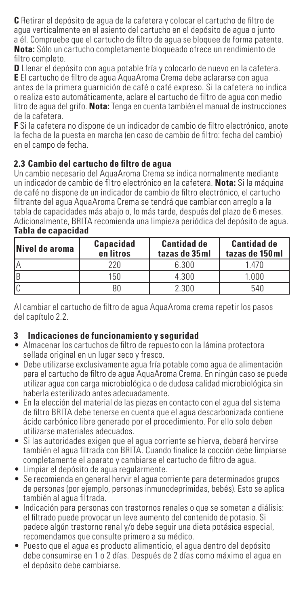**C** Retirar el depósito de agua de la cafetera y colocar el cartucho de filtro de agua verticalmente en el asiento del cartucho en el depósito de agua o junto a él. Compruebe que el cartucho de filtro de agua se bloquee de forma patente. **Nota:** Sólo un cartucho completamente bloqueado ofrece un rendimiento de filtro completo.

**D** Llenar el depósito con agua potable fría y colocarlo de nuevo en la cafetera. **E** El cartucho de filtro de agua AquaAroma Crema debe aclararse con agua antes de la primera guarnición de café o café expreso. Si la cafetera no indica o realiza esto automáticamente, aclare el cartucho de filtro de agua con medio litro de agua del grifo. **Nota:** Tenga en cuenta también el manual de instrucciones de la cafetera.

**F** Si la cafetera no dispone de un indicador de cambio de filtro electrónico, anote la fecha de la puesta en marcha (en caso de cambio de filtro: fecha del cambio) en el campo de fecha.

### **2.3 Cambio del cartucho de filtro de agua**

Un cambio necesario del AquaAroma Crema se indica normalmente mediante un indicador de cambio de filtro electrónico en la cafetera. **Nota:** Si la máquina de café no dispone de un indicador de cambio de filtro electrónico, el cartucho filtrante del agua AquaAroma Crema se tendrá que cambiar con arreglo a la tabla de capacidades más abajo o, lo más tarde, después del plazo de 6 meses. Adicionalmente, BRITA recomienda una limpieza periódica del depósito de agua.

| Nivel de aroma | Capacidad<br>en litros | <b>Cantidad de</b><br>tazas de 35 ml | <b>Cantidad de</b><br>tazas de 150 ml |
|----------------|------------------------|--------------------------------------|---------------------------------------|
|                | $720 -$                | 6.300                                | 1.470                                 |
|                | 150                    | 4.300                                | 1.000                                 |
|                |                        | 2.300                                | 540                                   |

### **Tabla de capacidad**

Al cambiar el cartucho de filtro de agua AquaAroma crema repetir los pasos del capítulo 2.2.

### **3 Indicaciones de funcionamiento y seguridad**

- Almacenar los cartuchos de filtro de repuesto con la lámina protectora sellada original en un lugar seco y fresco.
- Debe utilizarse exclusivamente agua fría potable como agua de alimentación para el cartucho de filtro de agua AquaAroma Crema. En ningún caso se puede utilizar agua con carga microbiológica o de dudosa calidad microbiológica sin haberla esterilizado antes adecuadamente.
- En la elección del material de las piezas en contacto con el agua del sistema de filtro BRITA debe tenerse en cuenta que el agua descarbonizada contiene ácido carbónico libre generado por el procedimiento. Por ello solo deben utilizarse materiales adecuados.
- Si las autoridades exigen que el agua corriente se hierva, deberá hervirse también el agua filtrada con BRITA. Cuando finalice la cocción debe limpiarse completamente el aparato y cambiarse el cartucho de filtro de agua.
- Limpiar el depósito de agua regularmente.
- Se recomienda en general hervir el agua corriente para determinados grupos de personas (por ejemplo, personas inmunodeprimidas, bebés). Esto se aplica también al agua filtrada.
- Indicación para personas con trastornos renales o que se sometan a diálisis: el filtrado puede provocar un leve aumento del contenido de potasio. Si padece algún trastorno renal y/o debe seguir una dieta potásica especial, recomendamos que consulte primero a su médico.
- Puesto que el agua es producto alimenticio, el agua dentro del depósito debe consumirse en 1 o 2 días. Después de 2 días como máximo el agua en el depósito debe cambiarse.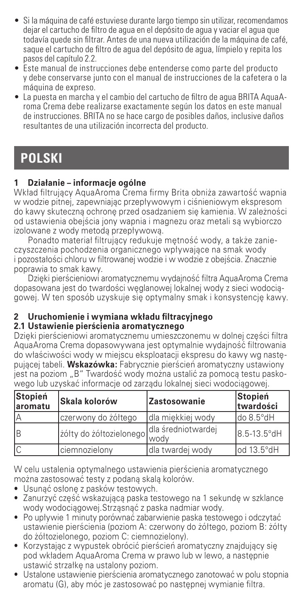- Si la máquina de café estuviese durante largo tiempo sin utilizar, recomendamos dejar el cartucho de filtro de agua en el depósito de agua y vaciar el agua que todavía quede sin filtrar. Antes de una nueva utilización de la máquina de café, saque el cartucho de filtro de agua del depósito de agua, límpielo y repita los pasos del capítulo 2.2.
- Este manual de instrucciones debe entenderse como parte del producto y debe conservarse junto con el manual de instrucciones de la cafetera o la máquina de expreso.
- La puesta en marcha y el cambio del cartucho de filtro de agua BRITA AquaAroma Crema debe realizarse exactamente según los datos en este manual de instrucciones. BRITA no se hace cargo de posibles daños, inclusive daños resultantes de una utilización incorrecta del producto.

### **POLSKI**

### **1 Działanie – informacje ogólne**

Wkład filtrujący AquaAroma Crema firmy Brita obniża zawartość wapnia w wodzie pitnej, zapewniając przepływowym i ciśnieniowym ekspresom do kawy skuteczną ochronę przed osadzaniem się kamienia. W zależności od ustawienia obejścia jony wapnia i magnezu oraz metali są wybiorczo izolowane z wody metodą przepływową.

Ponadto materiał filtrujący redukuje mętność wody, a także zanieczyszczenia pochodzenia organicznego wpływające na smak wody i pozostałości chloru w filtrowanej wodzie i w wodzie z obejścia. Znacznie poprawia to smak kawy.

Dzięki pierścieniowi aromatycznemu wydajność filtra AquaAroma Crema dopasowana jest do twardości węglanowej lokalnej wody z sieci wodociągowej. W ten sposób uzyskuje się optymalny smak i konsystencję kawy.

### **2 Uruchomienie i wymiana wkładu filtracyjnego**

### **2.1 Ustawienie pierścienia aromatycznego**

Dzięki pierścieniowi aromatycznemu umieszczonemu w dolnej części filtra AquaAroma Crema dopasowywana jest optymalnie wydajność filtrowania do właściwości wody w miejscu eksploatacji ekspresu do kawy wg następującej tabeli. **Wskazówka:** Fabrycznie pierścień aromatyczny ustawiony jest na poziom "B" Twardość wody można ustalić za pomoca testu paskowego lub uzyskać informacje od zarządu lokalnej sieci wodociągowej.

| Stopień<br>laromatu | Skala kolorów                              | Zastosowanie       | Stopień<br>twardości |
|---------------------|--------------------------------------------|--------------------|----------------------|
| İΑ                  | czerwony do żółtego                        | Idla miekkiei wody | do 8.5°dH            |
| Ιв                  | zółty do zółtozielonego dla średniotwardej |                    | 8.5-13.5°dH          |
| lc                  | Iciemnozielonv                             | Idla twardei wodv  | lod 13.5°dH          |

W celu ustalenia optymalnego ustawienia pierścienia aromatycznego można zastosować testy z podaną skalą kolorów.

- • Usunąć osłonę z pasków testowych.
- • Zanurzyć część wskazującą paska testowego na 1 sekundę w szklance wody wodociągowej.Strząsnąć z paska nadmiar wody.
- • Po upływie 1 minuty porównać zabarwienie paska testowego i odczytać ustawienie pierścienia (poziom A: czerwony do żółtego, poziom B: żółty do żółtozielonego, poziom C: ciemnozielony).
- • Korzystając z wypustek obrócić pierścień aromatyczny znajdujący się pod wkładem AquaAroma Crema w prawo lub w lewo, a następnie ustawić strzałkę na ustalony poziom.
- • Ustalone ustawienie pierścienia aromatycznego zanotować w polu stopnia aromatu (G), aby móc je zastosować po następnej wymianie filtra.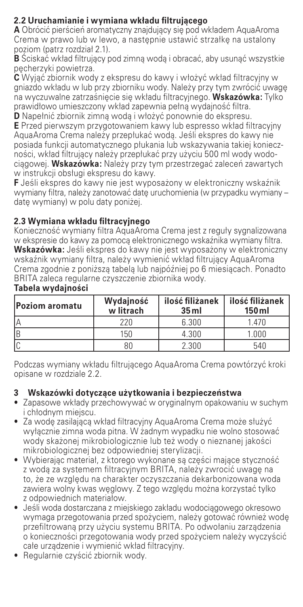### **2.2 Uruchamianie i wymiana wkładu filtrującego**

**A** Obrócić pierścień aromatyczny znajdujący się pod wkładem AquaAroma Crema w prawo lub w lewo, a następnie ustawić strzałkę na ustalony poziom (patrz rozdział 2.1).

**B** Ściskać wkład filtrujący pod zimną wodą i obracać, aby usunąć wszystkie pęcherzyki powietrza.

**C** Wyjąć zbiornik wody z ekspresu do kawy i włożyć wkład filtracyjny w gniazdo wkładu w lub przy zbiorniku wody. Należy przy tym zwrócić uwagę na wyczuwalne zatrzaśnięcie się wkładu filtracyjnego. **Wskazówka:** Tylko prawidłowo umieszczony wkład zapewnia pełną wydajność filtra.

**D** Napełnić zbiornik zimną wodą i włożyć ponownie do ekspresu.

**E** Przed pierwszym przygotowaniem kawy lub espresso wkład filtracyjny AquaAroma Crema należy przepłukać wodą. Jeśli ekspres do kawy nie posiada funkcji automatycznego płukania lub wskazywania takiej konieczności, wkład filtrujący należy przepłukać przy użyciu 500 ml wody wodociągowej. **Wskazówka:** Należy przy tym przestrzegać zaleceń zawartych w instrukcji obsługi ekspresu do kawy.

**F** Jeśli ekspres do kawy nie jest wyposażony w elektroniczny wskaźnik wymiany filtra, należy zanotować datę uruchomienia (w przypadku wymiany – datę wymiany) w polu daty poniżej.

### **2.3 Wymiana wkładu filtracyjnego**

Konieczność wymiany filtra AquaAroma Crema jest z reguły sygnalizowana w ekspresie do kawy za pomocą elektronicznego wskaźnika wymiany filtra. **Wskazówka:** Jeśli ekspres do kawy nie jest wyposażony w elektroniczny wskaźnik wymiany filtra, należy wymienić wkład filtrujący AquaAroma Crema zgodnie z poniższą tabelą lub najpóźniej po 6 miesiącach. Ponadto BRITA zaleca regularne czyszczenie zbiornika wody.

| Poziom aromatu | Wydajność<br>w litrach | ilość filiżanek<br>35 <sub>ml</sub> | ilość filiżanek<br>$150$ ml |
|----------------|------------------------|-------------------------------------|-----------------------------|
|                | 220                    | 6.300                               | 1.470                       |
| R              | 150                    | 4.300                               | 1.000                       |
|                | 80                     | 2.300                               | 540                         |

### **Tabela wydajności**

Podczas wymiany wkładu filtrującego AquaAroma Crema powtórzyć kroki opisane w rozdziale 2.2.

### **3 Wskazówki dotyczące użytkowania i bezpieczeństwa**

- • Zapasowe wkłady przechowywać w oryginalnym opakowaniu w suchym i chłodnym miejscu.
- • Za wodę zasilającą wkład filtracyjny AquaAroma Crema może służyć wyłącznie zimna woda pitna. W żadnym wypadku nie wolno stosować wody skażonej mikrobiologicznie lub też wody o nieznanej jakości mikrobiologicznej bez odpowiedniej sterylizacji.
- • Wybierając materiał, z ktorego wykonane są części mające styczność z wodą za systemem filtracyjnym BRITA, należy zwrocić uwagę na to, że ze względu na charakter oczyszczania dekarbonizowana woda zawiera wolny kwas węglowy. Z tego względu można korzystać tylko z odpowiednich materiałow.
- Jeśli woda dostarczana z miejskiego zakładu wodociągowego okresowo wymaga przegotowania przed spożyciem, należy gotować również wodę przefiltrowaną przy użyciu systemu BRITA. Po odwołaniu zarządzenia o konieczności przegotowania wody przed spożyciem należy wyczyścić całe urządzenie i wymienić wkład filtracyjny.
- • Regularnie czyścić zbiornik wody.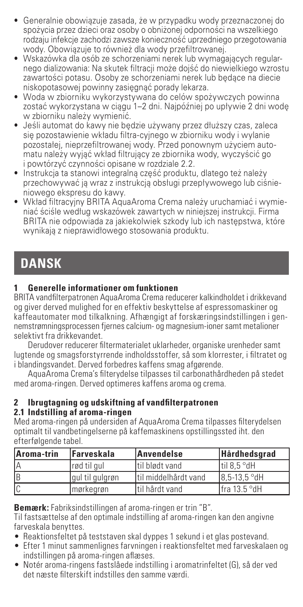- • Generalnie obowiązuje zasada, że w przypadku wody przeznaczonej do spożycia przez dzieci oraz osoby o obniżonej odporności na wszelkiego rodzaju infekcje zachodzi zawsze konieczność uprzedniego przegotowania wody. Obowiązuje to również dla wody przefiltrowanej.
- • Wskazówka dla osób ze schorzeniami nerek lub wymagających regularnego dializowania: Na skutek filtracji może dojść do niewielkiego wzrostu zawartości potasu. Osoby ze schorzeniami nerek lub będące na diecie niskopotasowej powinny zasięgnąć porady lekarza.
- • Woda w zbiorniku wykorzystywana do celów spożywczych powinna zostać wykorzystana w ciągu 1–2 dni. Najpóźniej po upływie 2 dni wodę w zbiorniku należy wymienić.
- • Jeśli automat do kawy nie będzie używany przez dłuższy czas, zaleca się pozostawienie wkładu filtra-cyjnego w zbiorniku wody i wylanie pozostałej, nieprzefiltrowanej wody. Przed ponownym użyciem automatu należy wyjąć wkład filtrujący ze zbiornika wody, wyczyścić go i powtórzyć czynności opisane w rozdziale 2.2.
- Instrukcja ta stanowi integralną część produktu, dlatego też należy przechowywać ją wraz z instrukcją obsługi przepływowego lub ciśnieniowego ekspresu do kawy.
- • Wkład filtracyjny BRITA AquaAroma Crema należy uruchamiać i wymieniać ściśle według wskazówek zawartych w niniejszej instrukcji. Firma BRITA nie odpowiada za jakiekolwiek szkody lub ich następstwa, które wynikają z nieprawidłowego stosowania produktu.

### **DANSK**

### **1 Generelle informationer om funktionen**

BRITA vandfilterpatronen AquaAroma Crema reducerer kalkindholdet i drikkevand og giver derved mulighed for en effektiv beskyttelse af espressomaskiner og kaffeautomater mod tilkalkning. Afhængigt af forskæringsindstillingen i gennemstrømningsprocessen fjernes calcium- og magnesium-ioner samt metalioner selektivt fra drikkevandet.

Derudover reducerer filtermaterialet uklarheder, organiske urenheder samt lugtende og smagsforstyrrende indholdsstoffer, så som klorrester, i filtratet og i blandingsvandet. Derved forbedres kaffens smag afgørende.

AquaAroma Crema's filterydelse tilpasses til carbonathårdheden på stedet med aroma-ringen. Derved optimeres kaffens aroma og crema.

### **2 Ibrugtagning og udskiftning af vandfilterpatronen**

### **2.1 Indstilling af aroma-ringen**

Med aroma-ringen på undersiden af AquaAroma Crema tilpasses filterydelsen optimalt til vandbetingelserne på kaffemaskinens opstillingssted iht. den efterfølgende tabel.

| Aroma-trin | Farveskala      | Anvendelse            | <b>Hårdhedsgrad</b> |
|------------|-----------------|-----------------------|---------------------|
|            | rød til aul     | Itil blødt vand       | Itil 8.5 °dH        |
| ΙB         | gul til gulgrøn | Itil middelhårdt vand | 8.5-13.5 °dH        |
|            | Imørkearøn      | Itil hårdt vand       | Ifra 13.5 °dH       |

**Bemærk:** Fabriksindstillingen af aroma-ringen er trin "B".

Til fastsættelse af den optimale indstilling af aroma-ringen kan den angivne farveskala benyttes.

- Reaktionsfeltet på teststaven skal dyppes 1 sekund i et glas postevand.
- Efter 1 minut sammenlignes farvningen i reaktionsfeltet med farveskalaen og indstillingen på aroma-ringen aflæses.
- Notér aroma-ringens fastslåede indstilling i aromatrinfeltet (G), så der ved det næste filterskift indstilles den samme værdi.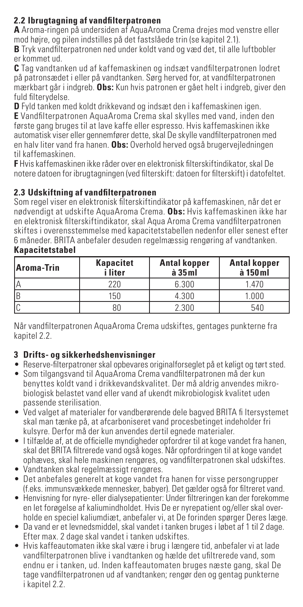### **2.2 Ibrugtagning af vandfilterpatronen**

**A** Aroma-ringen på undersiden af AquaAroma Crema drejes mod venstre eller mod højre, og pilen indstilles på det fastslåede trin (se kapitel 2.1). **B** Tryk vandfilterpatronen ned under koldt vand og væd det, til alle luftbobler er kommet ud.

**C** Tag vandtanken ud af kaffemaskinen og indsæt vandfilterpatronen lodret på patronsædet i eller på vandtanken. Sørg herved for, at vandfilterpatronen mærkbart går i indgreb. **Obs:** Kun hvis patronen er gået helt i indgreb, giver den fuld filterydelse.

**D** Fyld tanken med koldt drikkevand og indsæt den i kaffemaskinen igen. **E** Vandfilterpatronen AquaAroma Crema skal skylles med vand, inden den første gang bruges til at lave kaffe eller espresso. Hvis kaffemaskinen ikke automatisk viser eller gennemfører dette, skal De skylle vandfilterpatronen med en halv liter vand fra hanen. **Obs:** Overhold herved også brugervejledningen til kaffemaskinen.

**F** Hvis kaffemaskinen ikke råder over en elektronisk filterskiftindikator, skal De notere datoen for ibrugtagningen (ved filterskift: datoen for filterskift) i datofeltet.

### **2.3 Udskiftning af vandfilterpatronen**

Som regel viser en elektronisk filterskiftindikator på kaffemaskinen, når det er nødvendigt at udskifte AquaAroma Crema. **Obs:** Hvis kaffemaskinen ikke har en elektronisk filterskiftindikator, skal Aqua Aroma Crema vandfilterpatronen skiftes i overensstemmelse med kapacitetstabellen nedenfor eller senest efter 6 måneder. BRITA anbefaler desuden regelmæssig rengøring af vandtanken.

| Aroma-Trin | <b>Kapacitet</b><br>i liter | <b>Antal kopper</b><br>$\lambda$ 35 $ml$ | <b>Antal kopper</b><br>à 150 ml |
|------------|-----------------------------|------------------------------------------|---------------------------------|
| IΑ         | 220                         | 6.300                                    | 1.470                           |
| IR         | 150                         | 4.300                                    | 1.000                           |
|            |                             | 2.300                                    | 540                             |

#### **Kapacitetstabel**

Når vandfilterpatronen AquaAroma Crema udskiftes, gentages punkterne fra kapitel 2.2.

### **3 Drifts- og sikkerhedshenvisninger**

- Reserve-filterpatroner skal opbevares originalforseglet på et køligt og tørt sted.
- Som tilgangsvand til AquaAroma Crema vandfilterpatronen må der kun benyttes koldt vand i drikkevandskvalitet. Der må aldrig anvendes mikrobiologisk belastet vand eller vand af ukendt mikrobiologisk kvalitet uden passende sterilisation.
- Ved valget af materialer for vandberørende dele bagved BRITA fi ltersystemet skal man tænke på, at afcarboniseret vand procesbetinget indeholder fri kulsyre. Derfor må der kun anvendes dertil egnede materialer.
- I tilfælde af, at de officielle myndigheder opfordrer til at koge vandet fra hanen, skal det BRITA filtrerede vand også koges. Når opfordringen til at koge vandet ophæves, skal hele maskinen rengøres, og vandfilterpatronen skal udskiftes.
- Vandtanken skal regelmæssigt rengøres.
- Det anbefales generelt at koge vandet fra hanen for visse persongrupper (f.eks. immunsvækkede mennesker, babyer). Det gælder også for filtreret vand.
- Henvisning for nyre- eller dialysepatienter: Under filtreringen kan der forekomme en let forøgelse af kaliumindholdet. Hvis De er nyrepatient og/eller skal overholde en speciel kaliumdiæt, anbefaler vi, at De forinden spørger Deres læge.
- Da vand er et levnedsmiddel, skal vandet i tanken bruges i løbet af 1 til 2 dage. Efter max. 2 dage skal vandet i tanken udskiftes.
- Hvis kaffeautomaten ikke skal være i brug i længere tid, anbefaler vi at lade vandfilterpatronen blive i vandtanken og hælde det ufiltrerede vand, som endnu er i tanken, ud. Inden kaffeautomaten bruges næste gang, skal De tage vandfilterpatronen ud af vandtanken; rengør den og gentag punkterne i kapitel 2.2.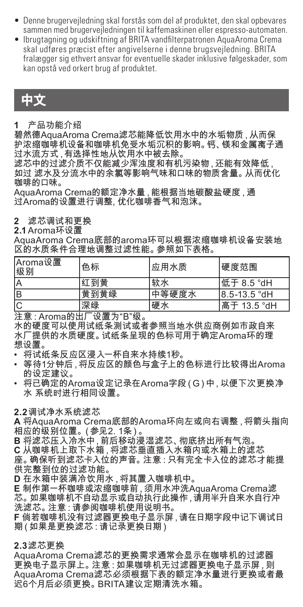- Denne brugervejledning skal forstås som del af produktet, den skal opbevares sammen med brugervejledningen til kaffemaskinen eller espresso-automaten.
- Ibrugtagning og udskiftning af BRITA vandfilterpatronen AquaAroma Crema skal udføres præcist efter angivelserne i denne brugsvejledning. BRITA fralægger sig ethvert ansvar for eventuelle skader inklusive følgeskader, som kan opstå ved orkert brug af produktet.

### 中文

#### **1** 产品功能介绍

碧然德AquaAroma Crema滤芯能降低饮用水中的水垢物质,从而保 护浓缩咖啡机设备和咖啡机免受水垢沉积的影响。钙、镁和金属离子通 过水流方式,有选择性地从饮用水中被去除。

过小灬刀式,自治计压指八公刀法;<br>滤芯中的过滤介质不仅能减少浑浊度和有机污染物 , 还能有效降低 , 如过 滤水及分流水中的余氯等影响气味和口味的物质含量。从而优化 咖啡的口味。

AquaAroma Crema的额定净水量,能根据当地碳酸盐硬度,通 过Aroma的设置进行调整, 优化咖啡香气和泡沫。

### **2** 滤芯调试和更换

### **2.1** Aroma环设置

AquaAroma Crema底部的aroma环可以根据浓缩咖啡机设备安装地 区的水质条件合理地调整过滤性能。参照如下表格。

| Aroma设置<br> 级别 | 色标   | 应用水质  | 硬度范围         |
|----------------|------|-------|--------------|
| ΙA             | 红到黄  | 软水    | 低于 8.5 °dH   |
| lв             | 黄到黄绿 | 中等硬度水 | 8.5-13.5 °dH |
| lC             | 深绿   | 硬水    | l高于 13.5 °dH |

注意:Aroma的出厂设置为"B"级。

水的硬度可以使用试纸条测试或者参照当地水供应商例如市政自来 水厂提供的水质硬度。试纸条呈现的色标可用于确定Aroma环的理 想设置。

• 将试纸条反应区浸入一杯自来水持续1秒。

- 等待1分钟后,将反应区的颜色与盒子上的色标进行比较得出Aroma 的设定建议。
- • 将已确定的Aroma设定记录在Aroma字段(G)中,以便下次更换净 水 系统时进行相同设置。

**2.2** 调试净水系统滤芯

**A** 将AquaAroma Crema底部的Aroma环向左或向右调整,将箭头指向 相应的级别位置。(参见2. 1条)。

**B** 将滤芯压入冷水中,前后移动浸湿滤芯、彻底挤出所有气泡。

**C** 从咖啡机上取下水箱,将滤芯垂直插入水箱内或水箱上的滤芯 座。确保听到滤芯卡入位的声音。注意:只有完全卡入位的滤芯才能提 供完整到位的过滤功能。

**D** 在水箱中装满冷饮用水,将其置入咖啡机中。

**E** 制作第一杯咖啡或浓缩咖啡前,须用水冲洗AquaAroma Crema滤 芯。如果咖啡机不自动显示或自动执行此操作,请用半升自来水自行冲 洗滤芯。注意:请参阅咖啡机使用说明书。

**F** 倘若咖啡机没有过滤器更换电子显示屏,请在日期字段中记下调试日 期(如果是更换滤芯:请记录更换日期)

### **2.3**滤芯更换

AquaAroma Crema滤芯的更换需求通常会显示在咖啡机的过滤器 更换电子显示屏上。注意:如果咖啡机无过滤器更换电子显示屏 AquaAroma Crema滤芯必须根据下表的额定净水量进行更换或者最 迟6个月后必须更换。BRITA建议定期清洗水箱。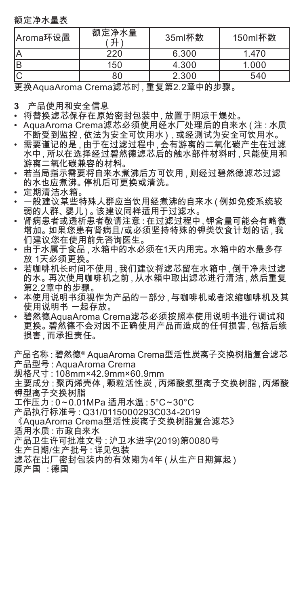额定净水量表

| Aroma环设置 | 额定净水量                     | 35ml杯数                                                                                                                                                                                                                        | 150ml杯数 |
|----------|---------------------------|-------------------------------------------------------------------------------------------------------------------------------------------------------------------------------------------------------------------------------|---------|
|          | 220                       | 6.300                                                                                                                                                                                                                         | 1.470   |
|          | 150                       | 4.300                                                                                                                                                                                                                         | 1.000   |
|          | 80                        | 2.300                                                                                                                                                                                                                         | 540     |
| ---      | $\sim$ to state<br>$\sim$ | and the second contract of the second contract of the second contract of the second contract of the second contract of the second contract of the second contract of the second contract of the second contract of the second |         |

更换AquaAroma Crema滤芯时,重复第2.2章中的步骤。

- **3** 产品使用和安全信息
- 
- 将替换滤芯保存在原始密封包装中 ,放置于阴凉干燥处。<br>• AquaAroma Crema滤芯必须使用经水厂处理后的自来水 ( 注 : 水质 不断受到监控,依法为安全可饮用水),或经测试为安全可饮用水。
- • 需要谨记的是,由于在过滤过程中,会有游离的二氧化碳产生在过滤 水中,所以在选择经过碧然德滤芯后的触水部件材料时,只能使用和 游离二氧化碳兼容的材料。
- • 若当局指示需要将自来水煮沸后方可饮用,则经过碧然德滤芯过滤 的水也应煮沸。停机后可更换或清洗。
- 定期清洁水箱。
- 一般建议某些特殊人群应当饮用经煮沸的自来水(例如免疫系统较 弱的人群、婴儿)。该建议同样适用于过滤水。
- • 肾病患者或透析患者敬请注意:在过滤过程中,钾含量可能会有略微 增加。如果您患有肾病且/或必须坚持特殊的钾类饮食计划的话,我 们建议您在使用前先咨询医生。
- • 由于水属于食品,水箱中的水必须在1天内用完。水箱中的水最多存 放 1天必须更换
- 若咖啡机长时间不使用,我们建议将滤芯留在水箱中,倒干净未过滤 的水。再次使用咖啡机之前,从水箱中取出滤芯进行清洁,然后重复 第2.2章中的步骤。
- • 本使用说明书须视作为产品的一部分,与咖啡机或者浓缩咖啡机及其 使用说明书 一起存放。
- • 碧然德AquaAroma Crema滤芯必须按照本使用说明书进行调试和 更换。碧然德不会对因不正确使用产品而造成的任何损害,包括后续 损害,而承担责任。

产品名称:碧然德® AquaAroma Crema型活性炭离子交换树脂复合滤芯 产品型号:AquaAroma Crema

规格尺寸:108mm×42.9mm×60.9mm

主要成分:聚丙烯壳体,颗粒活性炭,丙烯酸氢型离子交换树脂,丙烯酸 钾型离子交换树脂

- 工作压力:0~0.01MPa 适用水温:5°C~30°C
- 产品执行标准号:Q31/0115000293C034-2019
- 《AquaAroma Crema型活性炭离子交换树脂复合滤芯》
- 适用水质:市政自来水
- 产品卫生许可批准文号:沪卫水进字(2019)第0080号
- 生产日期/生产批号:详见包装
- 滤芯在出厂密封包装内的有效期为4年(从生产日期算起)
- 原产国 :德国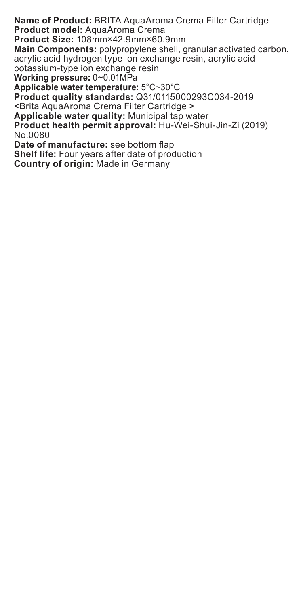**Name of Product:** BRITA AquaAroma Crema Filter Cartridge **Product model:** AquaAroma Crema **Product Size:** 108mm×42.9mm×60.9mm **Main Components:** polypropylene shell, granular activated carbon, acrylic acid hydrogen type ion exchange resin, acrylic acid potassium-type ion exchange resin **Working pressure:** 0~0.01MPa **Applicable water temperature:** 5°C~30°C **Product quality standards:** Q31/0115000293C034-2019 <Brita AquaAroma Crema Filter Cartridge > **Applicable water quality:** Municipal tap water **Product health permit approval:** Hu-Wei-Shui-Jin-Zi (2019) No.0080 **Date of manufacture:** see bottom flap **Shelf life:** Four years after date of production **Country of origin:** Made in Germany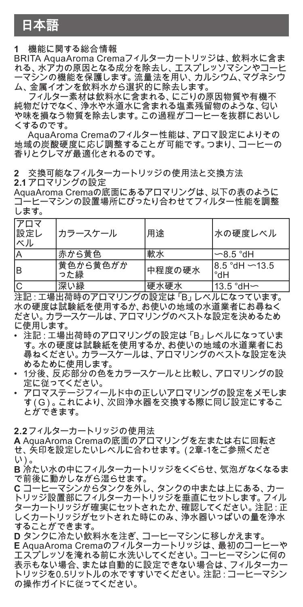### 日本語

**1** 機能に関する総合情報

BRITA AquaAroma Cremaフィルターカートリッジは、飲料水に含ま れる、水アカの原因となる成分を除去し、エスプレッソマシンやコーヒ ーマシンの機能を保護します。流量法を用い、カルシウム、マグネシウ ム、金属イオンを飲料水から選択的に除去します。

フィルター素材は飲料水に含まれる、にごりの原因物質や有機不 純物だけでなく、浄水や水道水に含まれる塩素残留物のような、匂い や味を損なう物質を除去します。この過程がコーヒーを抜群においし くするのです。

AquaAroma Cremaのフィルター性能は、アロマ設定によりその 地域の炭酸硬度に応じ調整することが可能です。つまり、コーヒーの 香りとクレマが最適化されるのです。

**2** 交換可能なフィルターカートリッジの使用法と交換方法

**2.1** アロマリングの設定

AquaAroma Cremaの底面にあるアロマリングは、以下の表のように quaktionia Stefflavが出しのるプロペッシンは、次十の技のように<br>コーヒーマシンの設置場所にぴったり合わせてフィルター性能を調整 します。

| アロマ<br>設定レ<br>ベル | カラースケール         | 用途     | 水の硬度レベル                    |
|------------------|-----------------|--------|----------------------------|
| ΙA               | 赤から黄色           | 軟水     | $-8.5$ °dH                 |
| lв               | 黄色から黄色がか<br>った緑 | 中程度の硬水 | $18.5$ °dH $-13.5$<br>Hb°l |
| lc               | 深い緑             | 硬水硬水   | 13.5 °dH∽                  |

注記:工場出荷時のアロマリングの設定は「B」レベルになっています。 水の硬度は試験紙を使用するか、お使いの地域の水道業者にお尋ねく ださい。カラースケールは、アロマリングのベストな設定を決めるため に使用します。

- • 注記:工場出荷時のアロマリングの設定は「B」レベルになっていま す。水の硬度は試験紙を使用するか、お使いの地域の水道業者にお 尋ねください。カラースケールは、アロマリングのベストな設定を決 めるために使用します。
- • 1分後、反応部分の色をカラースケールと比較し、アロマリングの設 定に従ってください。
- アロマステージフィールド中の正しいアロマリングの設定をメモしま す(G)。これにより、次回浄水器を交換する際に同じ設定にするこ とができます。

2.2 フィルターカートリッジの使用法

**A** AquaAroma Cremaの底面のアロマリングを左または右に回転さ せ、矢印を設定したいレベルに合わせます。(2章-1をご参照くださ い)。

**B** 冷たい水の中にフィルターカートリッジをくぐらせ、気泡がなくなるま で前後に動かしながら湿らせます。

**C** コーヒーマシンからタンクを外し、 タンクの中または上にある、 カー<br>トリッジ設置部にフィルターカートリッジを垂直にセットします。 フィル ターカートリッジが確実にセットされたか、確認してください。注記:正 しくカートリッジがセットされた時にのみ、浄水器いっぱいの量を浄水 することができます。

**D** タンクに冷たい飲料水を注ぎ、コーヒーマシンに移しかえます。 **E** AquaAroma Cremaのフィルターカートリッジは、最初のコーヒーや エスプレッソを淹れる前に水洗いしてください。コーヒーマシンに何の 表示もない場合、または自動的に設定できない場合は、フィルターカー トリッジを0.5リットルの水ですすいでください。注記:コーヒーマシン の操作ガイドに従ってください。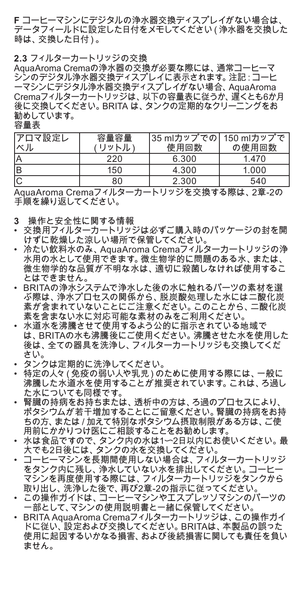**F** コーヒーマシンにデジタルの浄水器交換ディスプレイがない場合は、 -<br>データフィールドに設定した日付をメモしてください (浄水器を交換した 時は、交換した日付)。

#### **2.3** フィルターカートリッジの交換

AquaAroma Cremaの浄水器の交換が必要な際には、通常コーヒーマ シンのデジタル浄水器交換ディスプレイに表示されます。注記:コーヒ ーマシンにデジタル浄水器交換ディスプレイがない場合、AquaAroma Cremaフィルターカートリッジは、以下の容量表に従うか、遅くとも6か月 後に交換してください。BRITA は、タンクの定期的なクリーニングをお 勧めしています。

容量表

| アロマ設定レ<br>ベル | 容量容量<br>リットル | 35 mlカップでの  150 mlカップで<br>使用回数 | の使用回数 |
|--------------|--------------|--------------------------------|-------|
| İΑ           | 220          | 6.300                          | 1.470 |
| lв           | 150          | 4.300                          | 1.000 |
| lC           | 80           | 2.300                          | 540   |

AquaAroma Cremaフィルターカートリッジを交換する際は、2章-2の 手順を繰り返してください。

- 
- **3** 操作と安全性に関する情報<br>• 交換用フィルターカートリッジは必ずご購入時のパッケージの封を開 けずに乾燥した涼しい場所で保管してください。
- • 冷たい飲料水のみ、AquaAroma Cremaフィルターカートリッジの浄 水用の水として使用できます。微生物学的に問題のある水、または、 微生物学的な品質が不明な水は、適切に殺菌しなければ使用するこ とはできません。
- • BRITAの浄水システムで浄水した後の水に触れるパーツの素材を選 ぶ際は、浄水プロセスの関係から、脱炭酸処理した水には二酸化炭 素が含まれていないことにご注意ください。このことから、二酸化炭 <sub>来の 白</sub> まれていない ここにこ注意 くたこり。このここかっ<br>素を含まない水に対応可能な素材のみをご利用ください。
- 水道水を沸騰させて使用するよう公的に指示されている地域で は、BRITAの水も沸騰後にご使用ください。沸騰させた水を使用した 後は、全ての器具を洗浄し、フィルターカートリッジも交換してくだ さい。
- • タンクは定期的に洗浄してください。
- • 特定の人々(免疫の弱い人や乳児)のために使用する際には、一般に 特定の六ヾ(光及の弱い六ヾ非ル)りのために反用する脉には、 放に<br>沸騰した水道水を使用することが推奨されています。これは、ろ過し た水についても同様です。
- • 腎臓の持病をお持ちまたは、透析中の方は、ろ過のプロセスにより、 ポタシウムが若干増加することにご留意ください。腎臓の持病をお持 ちの方、または/加えて特別なポタシウム摂取制限がある方は、ご使 用前にかかりつけ医にご相談することをお勧めします。
- 水は食品ですので、タンク内の水は1〜2日以内にお使いください。 最 大でも2日後には、タンクの水を交換してください。
- • コーヒーマシンを長期間使用しない場合は、フィルターカートリッジ をタンク内に残し、浄水していない水を排出してください。コーヒー マシンを再度使用する際には、フィルターカートリッジをタンクから
- 取り出し、洗浄した後で、再び2章-2の指示に従ってください。 • この操作ガイドは、コーヒーマシンやエスプレッソマシンのパーツの 一部として、マシンの使用説明書と一緒に保管してください。
- • BRITA AquaAroma Cremaフィルターカートリッジは、この操作ガイ ドに従い、設定および交換してください。BRITAは、本製品の誤った 使用に起因するいかなる損害、および後続損害に関しても責任を負い ません。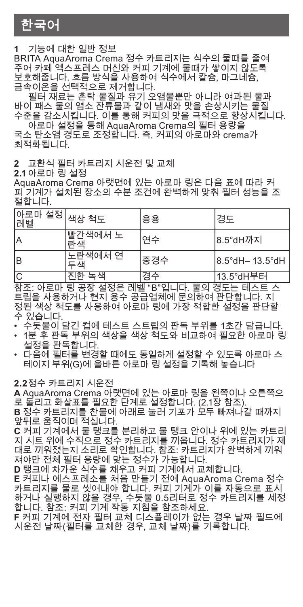한국어

**1** 기능에 대한 일반 정보

BRITA AquaAroma Crema 정수 카트리지는 식수의 물때를 줄여 주어 카페 엑스프레스 머신와 커피 기계에 물때가 쌓이지 않도록 보호해줍니다. 흐름 방식을 사용하여 식수에서 칼슘, 마그네슘, 금속이온을 선택적으로 제거합니다.

필터 재료는 혼탁 물질과 유기 오염물뿐만 아니라 여과된 물과 바이 패스 물의 염소 잔류물과 같이 냄새와 맛을 손상시키는 물질 수준을 감소시킵니다. 이를 통해 커피의 맛을 극적으로 향상시킵니다.

아로마 설정을 통해 AquaAroma Crema의 필터 용량을 국소 탄소염 경도로 조정합니다. 즉, 커피의 아로마와 crema가 최적화됩니다.

### **2** 교환식 필터 카트리지 시운전 및 교체

**2.1** 아로마 링 설정

AquaAroma Crema 아랫면에 있는 아로마 링은 다음 표에 따라 커 피 기계가 설치된 장소의 수분 조건에 완벽하게 맞춰 필터 성능을 조 절합니다.

| 아로마 설정  <sub>색상 척도</sub><br>레벨 |               | 응용  | 경도                 |
|--------------------------------|---------------|-----|--------------------|
| İΑ                             | 빨간색에서 노<br>라색 | 여수  | 8.5°dH까지           |
| lв                             | 노란색에서 연       | 중경수 | 18.5°dH- 13.5°dH l |
| Гс                             | 지한 녹색         | 경수  | 13.5°dH부터          |

참조: 아로마 링 공장 설정은 레벨 "B"입니다. 물의 경도는 테스트 스 트립을 사용하거나 현지 용수 공급업체에 문의하여 판단합니다. 지 정된 색상 척도를 사용하여 아로마 링에 가장 적합한 설정을 판단할 수 있습니다.

- • 수돗물이 담긴 컵에 테스트 스트립의 판독 부위를 1초간 담급니다.
- 1분 후 판독 부위의 색상을 색상 적도와 비교하여 필요한 아로마 링<br> 설정을 판독합니다.
- 다음에 필터를 변경할 때에도 동일하게 설정할 수 있도록 아로마 스 테이지 부위(G)에 올바른 아로마 링 설정을 기록해 놓습니다

**2.2**정수 카트리지 시운전

**A** AquaAroma Crema 아랫면에 있는 아로마 링을 왼쪽이나 오른쪽으 로 돌리고 화살표를 필요한 단계로 설정합니다. (2.1장 참조).

**B** 정수 카트리지를 찬물에 아래로 눌러 기포가 모두 빠져나갈 때까지 앞뒤로 움직이며 적십니다.

**C** 커피 기계에서 물 탱크를 분리하고 물 탱크 안이나 위에 있는 카트리 지 시트 위에 수직으로 정수 카트리지를 끼웁니다. 정수 카트리지가 제 대로 끼워졌는지 소리로 확인합니다. 참조: 카트리지가 완벽하게 끼워 져야만 전체 필터 용량에 맞는 정수가 가능합니다.

**D** 탱크에 차가운 식수를 채우고 커피 기계에서 교체합니다.

**E** 커피나 에스프레소를 처음 만들기 전에 AquaAroma Crema 정수 카트리지를 물로 씻어내야 합니다. 커피 기계가 이를 자동으로 표시 하거나 실행하지 않을 경우, 수돗물 0.5리터로 정수 카트리지를 세정 합니다. 참조: 커피 기계 작동 지침을 참조하세요.

**F** 커피 기계에 전자 필터 교체 디스플레이가 없는 경우 날짜 필드에 시운전 날짜(필터를 교체한 경우, 교체 날짜)를 기록합니다.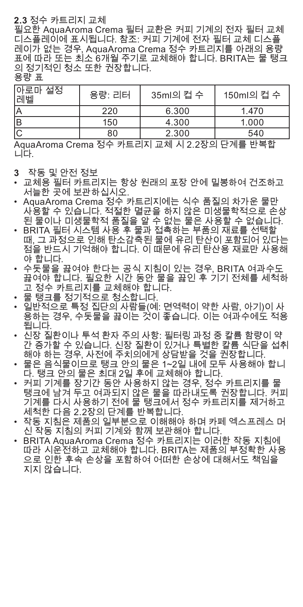### **2.3** 정수 카트리지 교체

필요한 AquaAroma Crema 필터 교환은 커피 기계의 전자 필터 교체 디스플레이에 표시됩니다. 참조: 커피 기계에 전자 필터 교체 디스플 레이가 없는 경우, AquaAroma Crema 정수 카트리지를 아래의 용량 표에 따라 또는 최소 6개월 주기로 교체해야 합니다. BRITA는 물 탱크 의 정기적인 청소 또한 권장합니다.

#### 용량 표

| 아로마 설정<br>레벨 | 용량: 리터 | 35ml의 컵 수  | 150ml의 컵 수 |
|--------------|--------|------------|------------|
|              | 220    | 6.300      | 1.470      |
| lв           | 150    | 4.300      | 1.000      |
| lC.          | 80     | 2.300<br>— | 540        |

AquaAroma Crema 정수 카트리지 교체 시 2.2장의 단계를 반복합 니다.

- **3** 작동 및 안전 정보
- • 교체용 필터 카트리지는 항상 원래의 포장 안에 밀봉하여 건조하고 서늘한 곳에 보관하십시오.
- • AquaAroma Crema 정수 카트리지에는 식수 품질의 차가운 물만 사용할 수 있습니다. 적절한 멸균을 하지 않은 미생물학적으로 손상
- 된 물이나 미생물학적 품질을 알 수 없는 물은 사용할 수 없습니다. • BRITA 필터 시스템 사용 후 물과 접촉하는 부품의 재료를 선택할 때, 그 과정으로 인해 탄소감축된 물에 유리 탄산이 포함되어 있다는 점을 반드시 기억해야 합니다. 이 때문에 유리 탄산용 재료만 사용해 야 합니다.
- • 수돗물을 끓여야 한다는 공식 지침이 있는 경우, BRITA 여과수도 끓여야 합니다. 필요한 시간 동안 물을 끓인 후 기기 전체를 세척하 고 정수 카트리지를 교체해야 합니다.
- 
- 물 탱크를 정기적으로 청소합니다.<br>• 일반적으로 특정 집단의 사람들(예: 면역력이 약한 사람, 아기)이 사 용하는 경우, 수돗물을 끓이는 것이 좋습니다. 이는 여과수에도 적용 됩니다.
- 신장 질환이나 투석 환자 주의 사항: 필터링 과정 중 칼륨 함량이 약<br> 간 증가할 수 있습니다. 신장 질환이 있거나 특별한 칼륨 식단을 섭취 해야 하는 경우, 사전에 주치의에게 상담받을 것을 권장합니다.
- • 물은 음식물이므로 탱크 안의 물은 1~2일 내에 모두 사용해야 합니 다. 탱크 안의 물은 최대 2일 후에 교체해야 합니다.
- • 커피 기계를 장기간 동안 사용하지 않는 경우, 정수 카트리지를 물 탱크에 남겨 두고 여과되지 않은 물을 따라내도록 권장합니다. 커피 기계를 다시 사용하기 전에 물 탱크에서 정수 카트리지를 제거하고
- ─ 세척한 다음 2.2장의 단계를 반복합니다.<br>• 작동 지침은 제품의 일부분으로 이해해야 하며 카페 엑스프레스 머 신 작동 지침의 커피 기계와 함께 보관해야 합니다.
- • BRITA AquaAroma Crema 정수 카트리지는 이러한 작동 지침에 따라 시운전하고 교체해야 합니다. BRITA는 제품의 부정확한 사용 으로 인한 후속 손상을 포함하여 어떠한 손상에 대해서도 책임을 지지 않습니다.